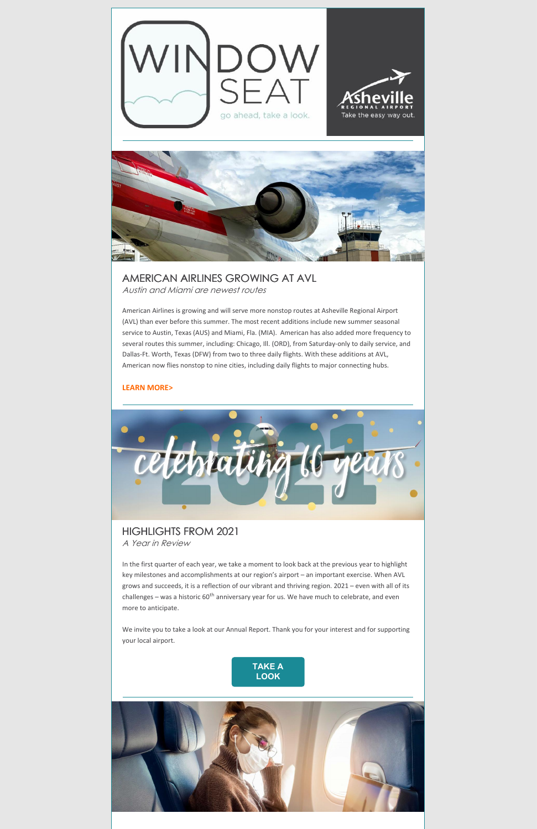



AMERICAN AIRLINES GROWING AT AVL Austin and Miami are newest routes

American Airlines is growing and will serve more nonstop routes at Asheville Regional Airport (AVL) than ever before this summer. The most recent additions include new summer seasonal service to Austin, Texas (AUS) and Miami, Fla. (MIA). American has also added more frequency to several routes this summer, including: Chicago, Ill. (ORD), from Saturday-only to daily service, and Dallas-Ft. Worth, Texas (DFW) from two to three daily flights. With these additions at AVL, American now flies nonstop to nine cities, including daily flights to major connecting hubs.

#### **LEARN [MORE>](https://flyavl.com/article/american-airlines-adding-service-asheville-regional-airport-summer-austin-texas-and-miami)**



#### HIGHLIGHTS FROM 2021 A Year in Review

In the first quarter of each year, we take a moment to look back at the previous year to highlight key milestones and accomplishments at our region's airport – an important exercise. When AVL grows and succeeds, it is a reflection of our vibrant and thriving region. 2021 – even with all of its challenges – was a historic 60<sup>th</sup> anniversary year for us. We have much to celebrate, and even more to anticipate.

We invite you to take a look at our Annual Report. Thank you for your interest and for supporting your local airport.



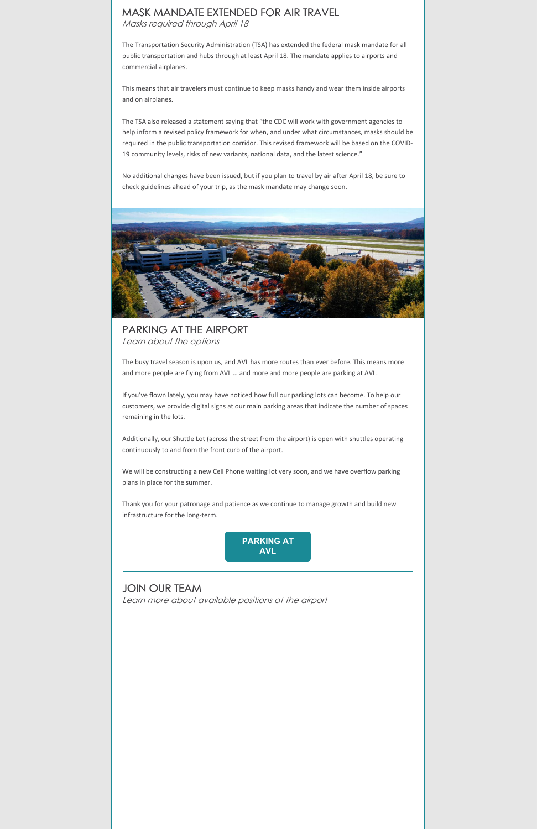### MASK MANDATE EXTENDED FOR AIR TRAVEL

Masks required through April 18

The Transportation Security Administration (TSA) has extended the federal mask mandate for all public transportation and hubs through at least April 18. The mandate applies to airports and commercial airplanes.

This means that air travelers must continue to keep masks handy and wear them inside airports and on airplanes.

The TSA also released a statement saying that "the CDC will work with government agencies to help inform a revised policy framework for when, and under what circumstances, masks should be required in the public transportation corridor. This revised framework will be based on the COVID-19 community levels, risks of new variants, national data, and the latest science."

No additional changes have been issued, but if you plan to travel by air after April 18, be sure to check guidelines ahead of your trip, as the mask mandate may change soon.



PARKING AT THE AIRPORT Learn about the options

The busy travel season is upon us, and AVL has more routes than ever before. This means more and more people are flying from AVL … and more and more people are parking at AVL.

If you've flown lately, you may have noticed how full our parking lots can become. To help our customers, we provide digital signs at our main parking areas that indicate the number of spaces remaining in the lots.

Additionally, our Shuttle Lot (across the street from the airport) is open with shuttles operating continuously to and from the front curb of the airport.

We will be constructing a new Cell Phone waiting lot very soon, and we have overflow parking plans in place for the summer.

Thank you for your patronage and patience as we continue to manage growth and build new infrastructure for the long-term.



#### JOIN OUR TEAM Learn more about available positions at the airport